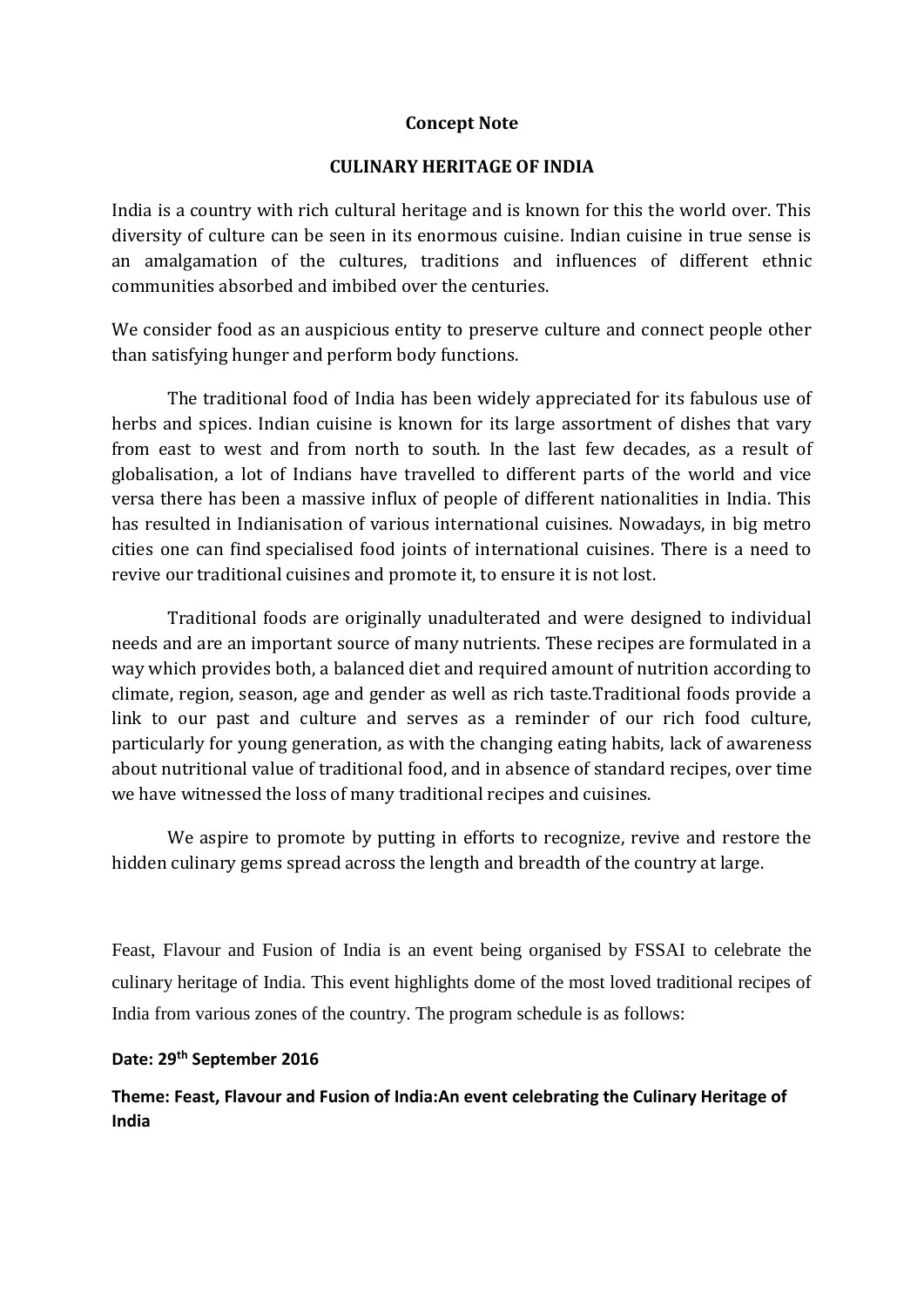## **Concept Note**

## **CULINARY HERITAGE OF INDIA**

India is a country with rich cultural heritage and is known for this the world over. This diversity of culture can be seen in its enormous cuisine. Indian cuisine in true sense is an amalgamation of the cultures, traditions and influences of different ethnic communities absorbed and imbibed over the centuries.

We consider food as an auspicious entity to preserve culture and connect people other than satisfying hunger and perform body functions.

The traditional food of India has been widely appreciated for its fabulous use of herbs and spices. Indian cuisine is known for its large assortment of dishes that vary from east to west and from north to south. In the last few decades, as a result of globalisation, a lot of Indians have travelled to different parts of the world and vice versa there has been a massive influx of people of different nationalities in India. This has resulted in Indianisation of various international cuisines. Nowadays, in big metro cities one can find [specialised food joints of international cuisines.](http://www.foodintown.in/) There is a need to revive our traditional cuisines and promote it, to ensure it is not lost.

Traditional foods are originally unadulterated and were designed to individual needs and are an important source of many nutrients. These recipes are formulated in a way which provides both, a balanced diet and required amount of nutrition according to climate, region, season, age and gender as well as rich taste.Traditional foods provide a link to our past and culture and serves as a reminder of our rich food culture, particularly for young generation, as with the changing eating habits, lack of awareness about nutritional value of traditional food, and in absence of standard recipes, over time we have witnessed the loss of many traditional recipes and cuisines.

We aspire to promote by putting in efforts to recognize, revive and restore the hidden culinary gems spread across the length and breadth of the country at large.

Feast, Flavour and Fusion of India is an event being organised by FSSAI to celebrate the culinary heritage of India. This event highlights dome of the most loved traditional recipes of India from various zones of the country. The program schedule is as follows:

### **Date: 29th September 2016**

**Theme: Feast, Flavour and Fusion of India:An event celebrating the Culinary Heritage of India**